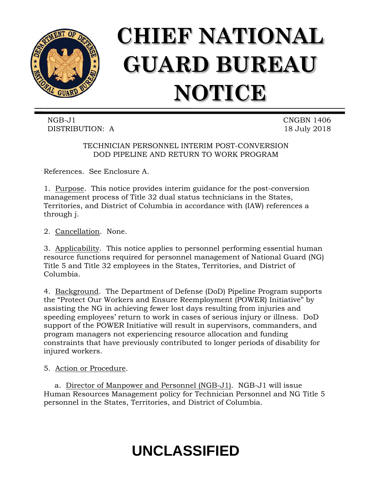

## **CHIEF NATIONAL GUARD BUREAU NOTICE**

NGB-J1 CNGBN 1406 DISTRIBUTION: A 18 July 2018

TECHNICIAN PERSONNEL INTERIM POST-CONVERSION DOD PIPELINE AND RETURN TO WORK PROGRAM

References. See Enclosure A.

1. Purpose. This notice provides interim guidance for the post-conversion management process of Title 32 dual status technicians in the States, Territories, and District of Columbia in accordance with (IAW) references a through j.

2. Cancellation. None.

3. Applicability. This notice applies to personnel performing essential human resource functions required for personnel management of National Guard (NG) Title 5 and Title 32 employees in the States, Territories, and District of Columbia.

4. Background. The Department of Defense (DoD) Pipeline Program supports the "Protect Our Workers and Ensure Reemployment (POWER) Initiative" by assisting the NG in achieving fewer lost days resulting from injuries and speeding employees' return to work in cases of serious injury or illness. DoD support of the POWER Initiative will result in supervisors, commanders, and program managers not experiencing resource allocation and funding constraints that have previously contributed to longer periods of disability for injured workers.

5. Action or Procedure.

a. Director of Manpower and Personnel (NGB-J1). NGB-J1 will issue Human Resources Management policy for Technician Personnel and NG Title 5 personnel in the States, Territories, and District of Columbia.

## **UNCLASSIFIED**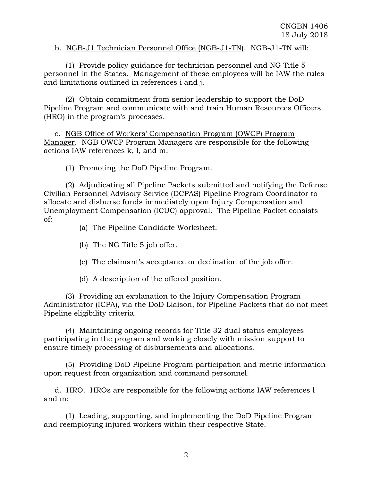b. NGB-J1 Technician Personnel Office (NGB-J1-TN). NGB-J1-TN will:

(1) Provide policy guidance for technician personnel and NG Title 5 personnel in the States. Management of these employees will be IAW the rules and limitations outlined in references i and j.

(2) Obtain commitment from senior leadership to support the DoD Pipeline Program and communicate with and train Human Resources Officers (HRO) in the program's processes.

c. NGB Office of Workers' Compensation Program (OWCP) Program Manager. NGB OWCP Program Managers are responsible for the following actions IAW references k, l, and m:

(1) Promoting the DoD Pipeline Program.

(2) Adjudicating all Pipeline Packets submitted and notifying the Defense Civilian Personnel Advisory Service (DCPAS) Pipeline Program Coordinator to allocate and disburse funds immediately upon Injury Compensation and Unemployment Compensation (ICUC) approval. The Pipeline Packet consists of:

- (a) The Pipeline Candidate Worksheet.
- (b) The NG Title 5 job offer.
- (c) The claimant's acceptance or declination of the job offer.
- (d) A description of the offered position.

(3) Providing an explanation to the Injury Compensation Program Administrator (ICPA), via the DoD Liaison, for Pipeline Packets that do not meet Pipeline eligibility criteria.

(4) Maintaining ongoing records for Title 32 dual status employees participating in the program and working closely with mission support to ensure timely processing of disbursements and allocations.

(5) Providing DoD Pipeline Program participation and metric information upon request from organization and command personnel.

d. HRO. HROs are responsible for the following actions IAW references l and m:

(1) Leading, supporting, and implementing the DoD Pipeline Program and reemploying injured workers within their respective State.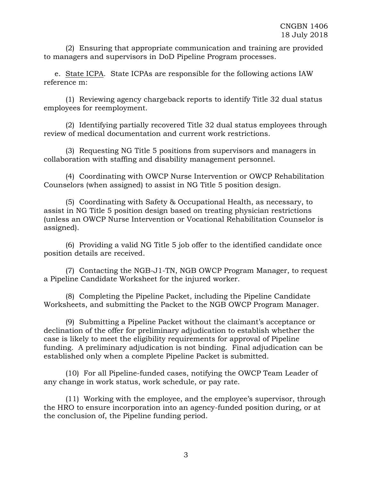(2) Ensuring that appropriate communication and training are provided to managers and supervisors in DoD Pipeline Program processes.

e. State ICPA. State ICPAs are responsible for the following actions IAW reference m:

(1) Reviewing agency chargeback reports to identify Title 32 dual status employees for reemployment.

(2) Identifying partially recovered Title 32 dual status employees through review of medical documentation and current work restrictions.

(3) Requesting NG Title 5 positions from supervisors and managers in collaboration with staffing and disability management personnel.

(4) Coordinating with OWCP Nurse Intervention or OWCP Rehabilitation Counselors (when assigned) to assist in NG Title 5 position design.

(5) Coordinating with Safety & Occupational Health, as necessary, to assist in NG Title 5 position design based on treating physician restrictions (unless an OWCP Nurse Intervention or Vocational Rehabilitation Counselor is assigned).

(6) Providing a valid NG Title 5 job offer to the identified candidate once position details are received.

(7) Contacting the NGB-J1-TN, NGB OWCP Program Manager, to request a Pipeline Candidate Worksheet for the injured worker.

(8) Completing the Pipeline Packet, including the Pipeline Candidate Worksheets, and submitting the Packet to the NGB OWCP Program Manager.

(9) Submitting a Pipeline Packet without the claimant's acceptance or declination of the offer for preliminary adjudication to establish whether the case is likely to meet the eligibility requirements for approval of Pipeline funding. A preliminary adjudication is not binding. Final adjudication can be established only when a complete Pipeline Packet is submitted.

(10) For all Pipeline-funded cases, notifying the OWCP Team Leader of any change in work status, work schedule, or pay rate.

(11) Working with the employee, and the employee's supervisor, through the HRO to ensure incorporation into an agency-funded position during, or at the conclusion of, the Pipeline funding period.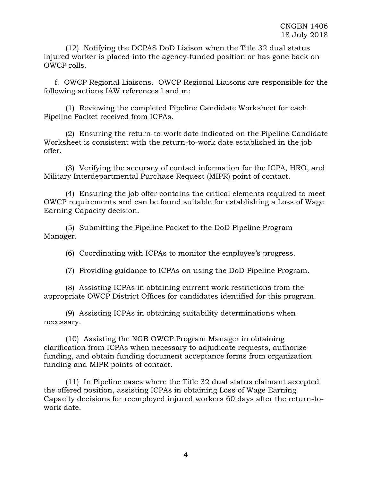(12) Notifying the DCPAS DoD Liaison when the Title 32 dual status injured worker is placed into the agency-funded position or has gone back on OWCP rolls.

f. OWCP Regional Liaisons. OWCP Regional Liaisons are responsible for the following actions IAW references l and m:

(1) Reviewing the completed Pipeline Candidate Worksheet for each Pipeline Packet received from ICPAs.

(2) Ensuring the return-to-work date indicated on the Pipeline Candidate Worksheet is consistent with the return-to-work date established in the job offer.

(3) Verifying the accuracy of contact information for the ICPA, HRO, and Military Interdepartmental Purchase Request (MIPR) point of contact.

(4) Ensuring the job offer contains the critical elements required to meet OWCP requirements and can be found suitable for establishing a Loss of Wage Earning Capacity decision.

(5) Submitting the Pipeline Packet to the DoD Pipeline Program Manager.

(6) Coordinating with ICPAs to monitor the employee's progress.

(7) Providing guidance to ICPAs on using the DoD Pipeline Program.

(8) Assisting ICPAs in obtaining current work restrictions from the appropriate OWCP District Offices for candidates identified for this program.

(9) Assisting ICPAs in obtaining suitability determinations when necessary.

(10) Assisting the NGB OWCP Program Manager in obtaining clarification from ICPAs when necessary to adjudicate requests, authorize funding, and obtain funding document acceptance forms from organization funding and MIPR points of contact.

(11) In Pipeline cases where the Title 32 dual status claimant accepted the offered position, assisting ICPAs in obtaining Loss of Wage Earning Capacity decisions for reemployed injured workers 60 days after the return-towork date.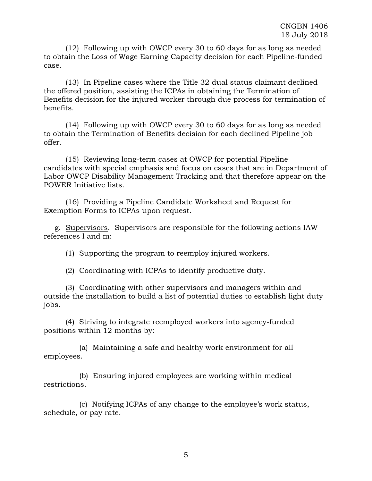(12) Following up with OWCP every 30 to 60 days for as long as needed to obtain the Loss of Wage Earning Capacity decision for each Pipeline-funded case.

(13) In Pipeline cases where the Title 32 dual status claimant declined the offered position, assisting the ICPAs in obtaining the Termination of Benefits decision for the injured worker through due process for termination of benefits.

(14) Following up with OWCP every 30 to 60 days for as long as needed to obtain the Termination of Benefits decision for each declined Pipeline job offer.

(15) Reviewing long-term cases at OWCP for potential Pipeline candidates with special emphasis and focus on cases that are in Department of Labor OWCP Disability Management Tracking and that therefore appear on the POWER Initiative lists.

(16) Providing a Pipeline Candidate Worksheet and Request for Exemption Forms to ICPAs upon request.

g. Supervisors. Supervisors are responsible for the following actions IAW references l and m:

(1) Supporting the program to reemploy injured workers.

(2) Coordinating with ICPAs to identify productive duty.

(3) Coordinating with other supervisors and managers within and outside the installation to build a list of potential duties to establish light duty jobs.

(4) Striving to integrate reemployed workers into agency-funded positions within 12 months by:

(a) Maintaining a safe and healthy work environment for all employees.

(b) Ensuring injured employees are working within medical restrictions.

(c) Notifying ICPAs of any change to the employee's work status, schedule, or pay rate.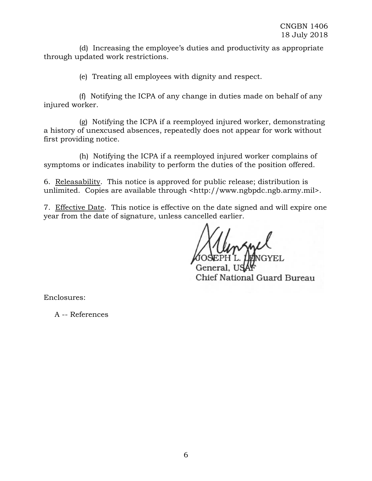(d) Increasing the employee's duties and productivity as appropriate through updated work restrictions.

(e) Treating all employees with dignity and respect.

(f) Notifying the ICPA of any change in duties made on behalf of any injured worker.

(g) Notifying the ICPA if a reemployed injured worker, demonstrating a history of unexcused absences, repeatedly does not appear for work without first providing notice.

(h) Notifying the ICPA if a reemployed injured worker complains of symptoms or indicates inability to perform the duties of the position offered.

6. Releasability. This notice is approved for public release; distribution is unlimited. Copies are available through <http://www.ngbpdc.ngb.army.mil>.

7. Effective Date. This notice is effective on the date signed and will expire one year from the date of signature, unless cancelled earlier.

Chief National Guard Bureau

Enclosures:

A -- References